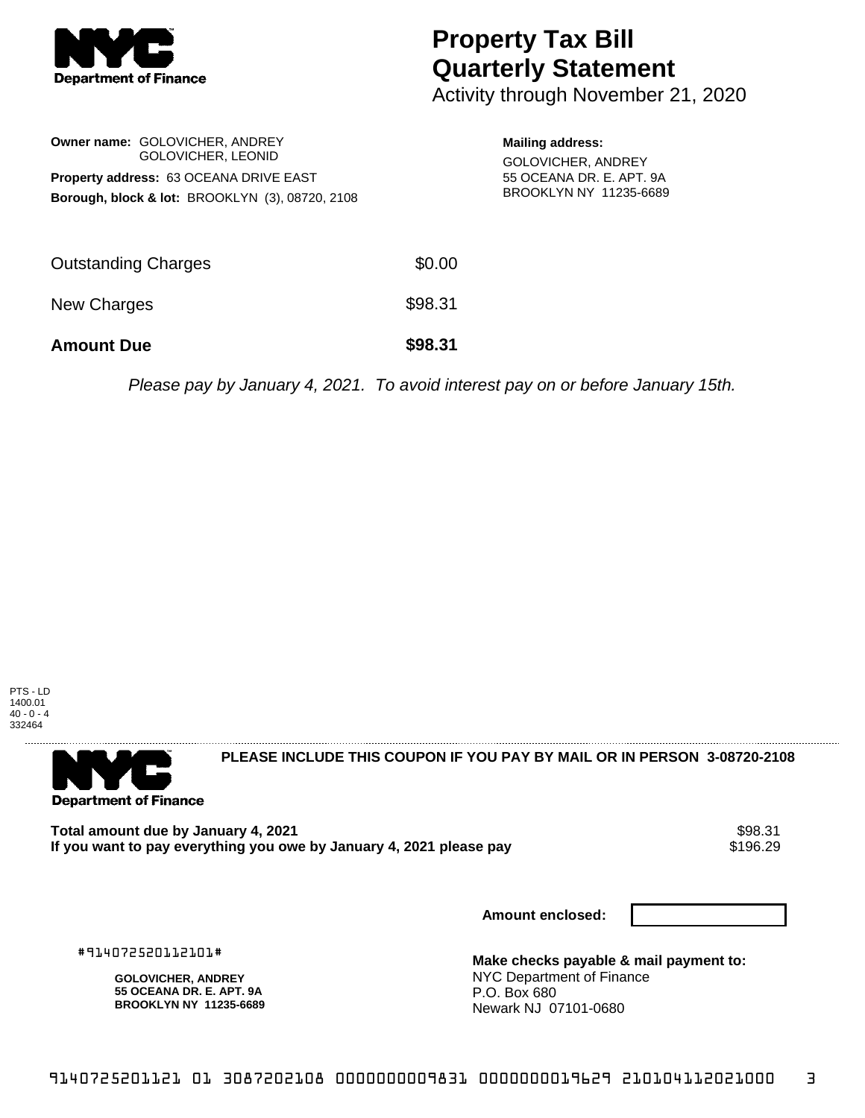

## **Property Tax Bill Quarterly Statement**

Activity through November 21, 2020

|                                               | <b>Owner name: GOLOVICHER, ANDREY</b><br><b>GOLOVICHER, LEONID</b> |  |  |  |
|-----------------------------------------------|--------------------------------------------------------------------|--|--|--|
| <b>Property address: 63 OCEANA DRIVE EAST</b> |                                                                    |  |  |  |
|                                               | <b>Borough, block &amp; lot: BROOKLYN (3), 08720, 2108</b>         |  |  |  |

## **Mailing address:** GOLOVICHER, ANDREY 55 OCEANA DR. E. APT. 9A BROOKLYN NY 11235-6689

| <b>Amount Due</b>          | \$98.31 |
|----------------------------|---------|
| New Charges                | \$98.31 |
| <b>Outstanding Charges</b> | \$0.00  |

Please pay by January 4, 2021. To avoid interest pay on or before January 15th.





**PLEASE INCLUDE THIS COUPON IF YOU PAY BY MAIL OR IN PERSON 3-08720-2108** 

Total amount due by January 4, 2021<br>If you want to pay everything you owe by January 4, 2021 please pay **show that the summan wave of the s**196.29 If you want to pay everything you owe by January 4, 2021 please pay

**Amount enclosed:**

#914072520112101#

**GOLOVICHER, ANDREY 55 OCEANA DR. E. APT. 9A BROOKLYN NY 11235-6689** **Make checks payable & mail payment to:** NYC Department of Finance P.O. Box 680 Newark NJ 07101-0680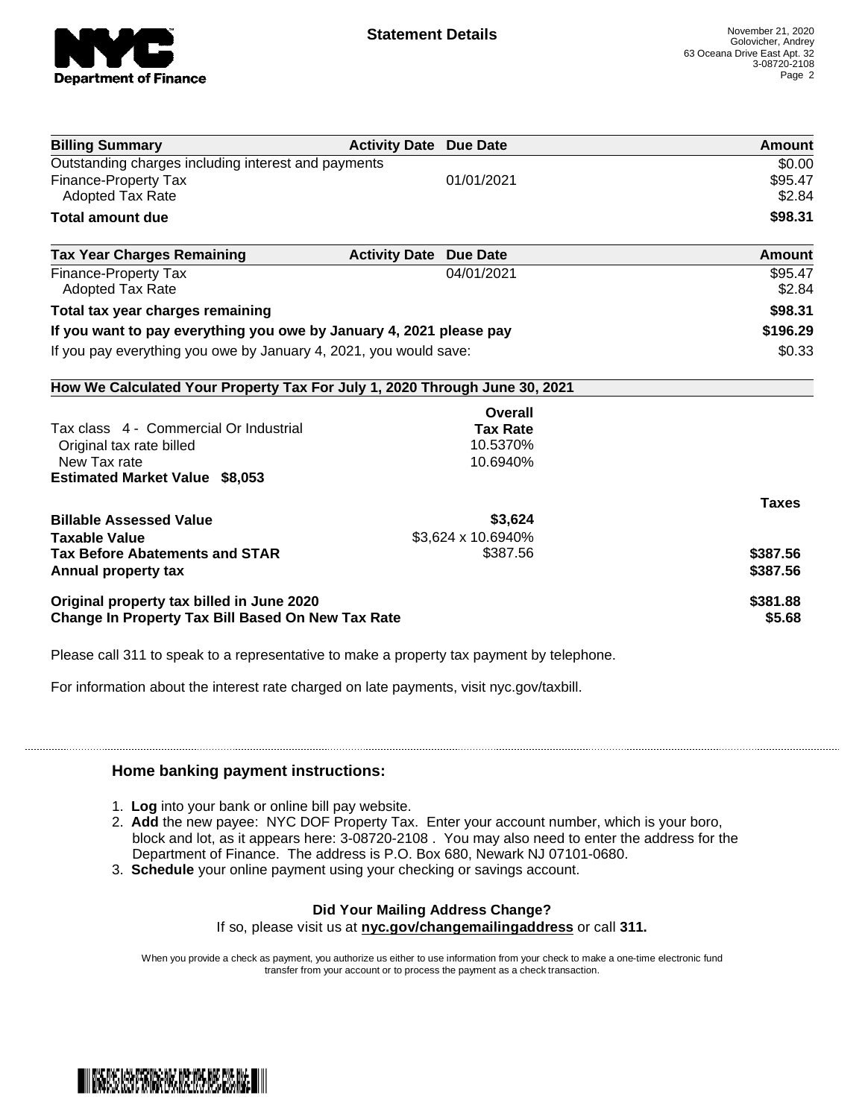

| <b>Billing Summary</b>                                                     | <b>Activity Date Due Date</b>           | Amount       |
|----------------------------------------------------------------------------|-----------------------------------------|--------------|
| Outstanding charges including interest and payments                        |                                         | \$0.00       |
| <b>Finance-Property Tax</b>                                                | 01/01/2021                              | \$95.47      |
| <b>Adopted Tax Rate</b>                                                    |                                         | \$2.84       |
| <b>Total amount due</b>                                                    |                                         | \$98.31      |
| <b>Tax Year Charges Remaining</b>                                          | <b>Activity Date</b><br><b>Due Date</b> | Amount       |
| Finance-Property Tax                                                       | 04/01/2021                              | \$95.47      |
| <b>Adopted Tax Rate</b>                                                    |                                         | \$2.84       |
| Total tax year charges remaining                                           | \$98.31                                 |              |
| If you want to pay everything you owe by January 4, 2021 please pay        | \$196.29                                |              |
| If you pay everything you owe by January 4, 2021, you would save:          | \$0.33                                  |              |
| How We Calculated Your Property Tax For July 1, 2020 Through June 30, 2021 |                                         |              |
|                                                                            | Overall                                 |              |
| Tax class 4 - Commercial Or Industrial                                     | <b>Tax Rate</b>                         |              |
| Original tax rate billed                                                   | 10.5370%                                |              |
| New Tax rate                                                               | 10.6940%                                |              |
| <b>Estimated Market Value \$8,053</b>                                      |                                         |              |
|                                                                            |                                         | <b>Taxes</b> |
| <b>Billable Assessed Value</b>                                             | \$3,624                                 |              |
| <b>Taxable Value</b>                                                       | \$3,624 x 10.6940%                      |              |
| <b>Tax Before Abatements and STAR</b>                                      | \$387.56                                | \$387.56     |
| Annual property tax                                                        |                                         | \$387.56     |
| Original property tax billed in June 2020                                  | \$381.88                                |              |
| <b>Change In Property Tax Bill Based On New Tax Rate</b>                   | \$5.68                                  |              |
|                                                                            |                                         |              |

Please call 311 to speak to a representative to make a property tax payment by telephone.

For information about the interest rate charged on late payments, visit nyc.gov/taxbill.

## **Home banking payment instructions:**

- 1. **Log** into your bank or online bill pay website.
- 2. **Add** the new payee: NYC DOF Property Tax. Enter your account number, which is your boro, block and lot, as it appears here: 3-08720-2108 . You may also need to enter the address for the Department of Finance. The address is P.O. Box 680, Newark NJ 07101-0680.
- 3. **Schedule** your online payment using your checking or savings account.

## **Did Your Mailing Address Change?**

If so, please visit us at **nyc.gov/changemailingaddress** or call **311.**

When you provide a check as payment, you authorize us either to use information from your check to make a one-time electronic fund transfer from your account or to process the payment as a check transaction.